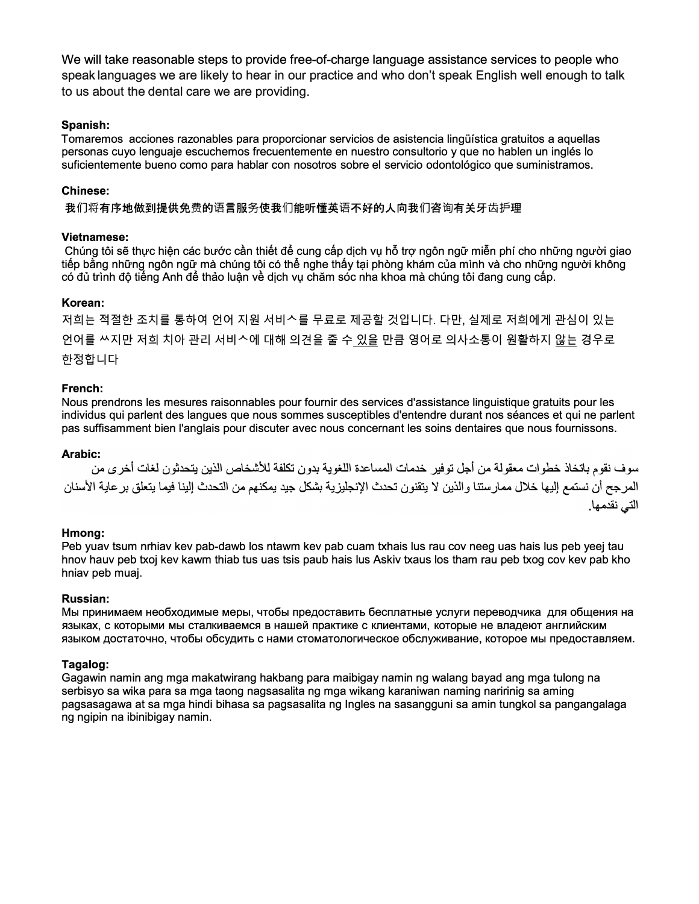We will take reasonable steps to provide free-of-charge language assistance services to people who speak languages we are likely to hear in our practice and who don't speak English well enough to talk to us about the dental care we are providing.

# Spanish:

Tomaremos acciones razonables para proporcionar servicios de asistencia lingüística gratuitos a aquellas personas cuyo lenguaje escuchemos frecuentemente en nuestro consultorio y que no hablen un inglés lo suficientemente bueno como para hablar con nosotros sobre el servicio odontológico que suministramos.

## Chinese:

我们将有序地做到提供免费的语言服务使我们能听懂英语不好的人向我们咨询有关牙齿护理

## **Vietnamese:**

Chúng tôi sẽ thực hiện các bước cần thiết để cung cấp dịch vụ hỗ trợ ngôn ngữ miễn phí cho những người giao tiếp bằng những ngôn ngữ mà chúng tôi có thể nghe thấy tại phòng khám của mình và cho những người không có đủ trình đô tiếng Anh để thảo luân về dịch vụ chăm sóc nha khoa mà chúng tôi đang cung cấp.

### Korean:

저희는 적절한 조치를 통하여 언어 지원 서비스를 무료로 제공할 것입니다. 다만, 실제로 저희에게 관심이 있는 언어를 쓰지만 저희 치아 관리 서비스에 대해 의견을 줄 수 있을 만큼 영어로 의사소통이 원활하지 않는 경우로 한정합니다

### French:

Nous prendrons les mesures raisonnables pour fournir des services d'assistance linguistique gratuits pour les individus qui parlent des langues que nous sommes susceptibles d'entendre durant nos séances et qui ne parlent pas suffisamment bien l'anglais pour discuter avec nous concernant les soins dentaires que nous fournissons.

### Arabic:

سوف نقوم باتخاذ خطوات معقولة من أجل توفير خدمات المساعدة اللغوية بدون تكلفة للأشخاص الذين يتحدثون لغات أخر ي من المرجح أن نستمع إليها خلال ممارستنا والذين لا يتقنون تحدث الإنجليزية بشكل جيد يمكنهم من التحدث إلينا فيما يتعلق بر عاية الأسنان التي نقدمها.

### Hmong:

Peb yuav tsum nrhiav kev pab-dawb los ntawm kev pab cuam txhais lus rau cov neeg uas hais lus peb yeej tau hnov hauv peb txoj kev kawm thiab tus uas tsis paub hais lus Askiv txaus los tham rau peb txog cov kev pab kho hniav peb muai.

### **Russian:**

Мы принимаем необходимые меры, чтобы предоставить бесплатные услуги переводчика для общения на языках, с которыми мы сталкиваемся в нашей практике с клиентами, которые не владеют английским языком достаточно, чтобы обсудить с нами стоматологическое обслуживание, которое мы предоставляем.

### Tagalog:

Gagawin namin ang mga makatwirang hakbang para maibigay namin ng walang bayad ang mga tulong na serbisyo sa wika para sa mga taong nagsasalita ng mga wikang karaniwan naming naririnig sa aming pagsasagawa at sa mga hindi bihasa sa pagsasalita ng Ingles na sasangguni sa amin tungkol sa pangangalaga ng ngipin na ibinibigay namin.